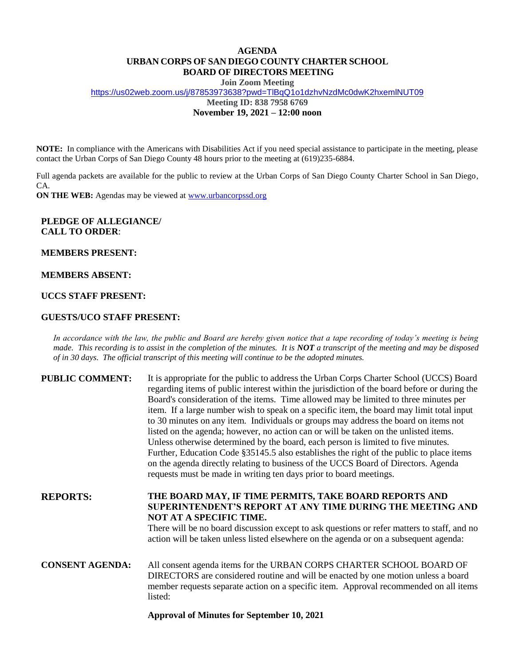# **AGENDA URBAN CORPS OF SAN DIEGO COUNTY CHARTER SCHOOL BOARD OF DIRECTORS MEETING**

**Join Zoom Meeting**

[https://us02web.zoom.us/j/87853973638?pwd=TlBqQ1o1dzhvNzdMc0dwK2hxemlNUT09](https://www.google.com/url?q=https%3A%2F%2Fus02web.zoom.us%2Fj%2F87853973638%3Fpwd%3DTlBqQ1o1dzhvNzdMc0dwK2hxemlNUT09&sa=D&source=calendar&usd=2&usg=AOvVaw16pGDNDqToM3awRVEDUn2u)

**Meeting ID: 838 7958 6769**

**November 19, 2021 – 12:00 noon**

**NOTE:** In compliance with the Americans with Disabilities Act if you need special assistance to participate in the meeting, please contact the Urban Corps of San Diego County 48 hours prior to the meeting at (619)235-6884.

Full agenda packets are available for the public to review at the Urban Corps of San Diego County Charter School in San Diego, CA.

**ON THE WEB:** Agendas may be viewed a[t www.urbancorpssd.org](http://www.urbancorpssd.org/)

## **PLEDGE OF ALLEGIANCE/ CALL TO ORDER**:

### **MEMBERS PRESENT:**

### **MEMBERS ABSENT:**

# **UCCS STAFF PRESENT:**

### **GUESTS/UCO STAFF PRESENT:**

*In accordance with the law, the public and Board are hereby given notice that a tape recording of today's meeting is being made. This recording is to assist in the completion of the minutes. It is NOT a transcript of the meeting and may be disposed of in 30 days. The official transcript of this meeting will continue to be the adopted minutes.*

| <b>PUBLIC COMMENT:</b> | It is appropriate for the public to address the Urban Corps Charter School (UCCS) Board<br>regarding items of public interest within the jurisdiction of the board before or during the<br>Board's consideration of the items. Time allowed may be limited to three minutes per<br>item. If a large number wish to speak on a specific item, the board may limit total input<br>to 30 minutes on any item. Individuals or groups may address the board on items not<br>listed on the agenda; however, no action can or will be taken on the unlisted items.<br>Unless otherwise determined by the board, each person is limited to five minutes.<br>Further, Education Code §35145.5 also establishes the right of the public to place items<br>on the agenda directly relating to business of the UCCS Board of Directors. Agenda<br>requests must be made in writing ten days prior to board meetings. |
|------------------------|----------------------------------------------------------------------------------------------------------------------------------------------------------------------------------------------------------------------------------------------------------------------------------------------------------------------------------------------------------------------------------------------------------------------------------------------------------------------------------------------------------------------------------------------------------------------------------------------------------------------------------------------------------------------------------------------------------------------------------------------------------------------------------------------------------------------------------------------------------------------------------------------------------|
| <b>REPORTS:</b>        | THE BOARD MAY, IF TIME PERMITS, TAKE BOARD REPORTS AND<br>SUPERINTENDENT'S REPORT AT ANY TIME DURING THE MEETING AND<br>NOT AT A SPECIFIC TIME.<br>There will be no board discussion except to ask questions or refer matters to staff, and no<br>action will be taken unless listed elsewhere on the agenda or on a subsequent agenda:                                                                                                                                                                                                                                                                                                                                                                                                                                                                                                                                                                  |
| <b>CONSENT AGENDA:</b> | All consent agenda items for the URBAN CORPS CHARTER SCHOOL BOARD OF<br>DIRECTORS are considered routine and will be enacted by one motion unless a board<br>member requests separate action on a specific item. Approval recommended on all items<br>listed:                                                                                                                                                                                                                                                                                                                                                                                                                                                                                                                                                                                                                                            |

#### **Approval of Minutes for September 10, 2021**